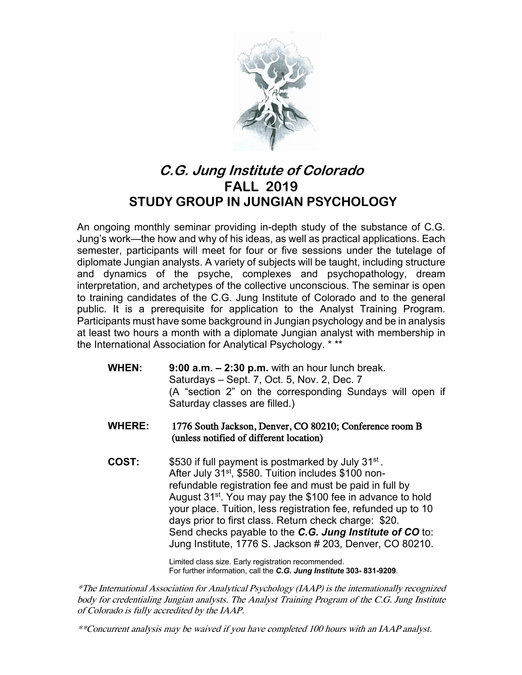

## **C.G. Jung Institute of Colorado FALL 2019 STUDY GROUP IN JUNGIAN PSYCHOLOGY**

An ongoing monthly seminar providing in-depth study of the substance of C.G. Jung's work—the how and why of his ideas, as well as practical applications. Each semester, participants will meet for four or five sessions under the tutelage of diplomate Jungian analysts. A variety of subjects will be taught, including structure and dynamics of the psyche, complexes and psychopathology, dream interpretation, and archetypes of the collective unconscious. The seminar is open to training candidates of the C.G. Jung Institute of Colorado and to the general public. It is a prerequisite for application to the Analyst Training Program. Participants must have some background in Jungian psychology and be in analysis at least two hours a month with a diplomate Jungian analyst with membership in the International Association for Analytical Psychology. \* \*\*

- **WHEN: 9:00 a.m. – 2:30 p.m.** with an hour lunch break. Saturdays – Sept. 7, Oct. 5, Nov. 2, Dec. 7 (A "section 2" on the corresponding Sundays will open if Saturday classes are filled.)
- **WHERE:** 1776 South Jackson, Denver, CO 80210; Conference room B (unless notified of different location)
- **COST:** \$530 if full payment is postmarked by July 31st . After July 31<sup>st</sup>, \$580. Tuition includes \$100 nonrefundable registration fee and must be paid in full by August 31<sup>st</sup>. You may pay the \$100 fee in advance to hold your place. Tuition, less registration fee, refunded up to 10 days prior to first class. Return check charge: \$20. Send checks payable to the *C.G. Jung Institute of CO* to: Jung Institute, 1776 S. Jackson # 203, Denver, CO 80210.

Limited class size. Early registration recommended. For further information, call the *C.G. Jung Institute* **303- 831-9209**.

\*The International Association for Analytical Psychology (IAAP) is the internationally recognized body for credentialing Jungian analysts. The Analyst Training Program of the C.G. Jung Institute of Colorado is fully accredited by the IAAP.

\*\*Concurrent analysis may be waived if you have completed 100 hours with an IAAP analyst.